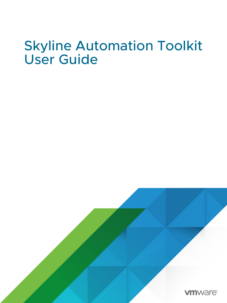## Skyline Automation Toolkit User Guide

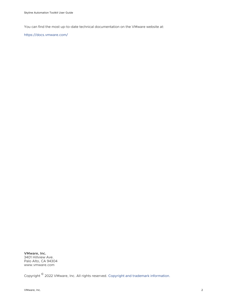You can find the most up-to-date technical documentation on the VMware website at:

<https://docs.vmware.com/>

**VMware, Inc.** 3401 Hillview Ave. Palo Alto, CA 94304 www.vmware.com

Copyright  $^\copyright$  2022 VMware, Inc. All rights reserved. [Copyright and trademark information.](https://docs.vmware.com/copyright-trademark.html)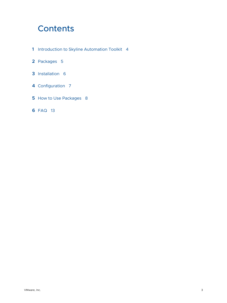### **Contents**

- [Introduction to Skyline Automation Toolkit](#page-3-0) 4
- [Packages](#page-4-0) 5
- [Installation](#page-5-0) 6
- [Configuration](#page-6-0) 7
- [How to Use Packages](#page-7-0) 8
- [FAQ](#page-12-0) 13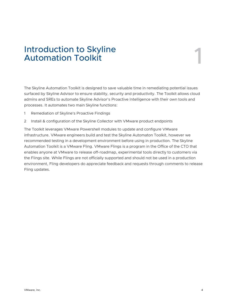# <span id="page-3-0"></span>Introduction to Skyline Automation Toolkit 1

The Skyline Automation Toolkit is designed to save valuable time in remediating potential issues surfaced by Skyline Advisor to ensure stability, security and productivity. The Toolkit allows cloud admins and SREs to automate Skyline Advisor's Proactive Intelligence with their own tools and processes. It automates two main Skyline functions:

- 1 Remediation of Skyline's Proactive Findings
- 2 Install & configuration of the Skyline Collector with VMware product endpoints

The Toolkit leverages VMware Powershell modules to update and configure VMware infrastructure. VMware engineers build and test the Skyline Automaton Toolkit, however we recommended testing in a development environment before using in production. The Skyline Automation Toolkit is a VMware Fling. VMware Flings is a program in the Office of the CTO that enables anyone at VMware to release off-roadmap, experimental tools directly to customers via the Flings site. While Flings are not officially supported and should not be used in a production environment, Fling developers do appreciate feedback and requests through comments to release Fling updates.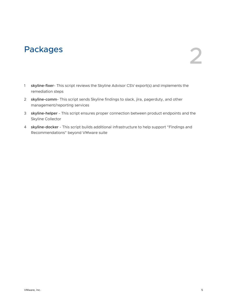# <span id="page-4-0"></span>Packages 22

- 1 **skyline-fixer** This script reviews the Skyline Advisor CSV export(s) and implements the remediation steps
- 2 **skyline-comm** This script sends Skyline findings to slack, jira, pagerduty, and other management/reporting services
- 3 **skyline-helper** This script ensures proper connection between product endpoints and the Skyline Collector
- 4 **skyline-docker** This script builds additional infrastructure to help support "Findings and Recommendations" beyond VMware suite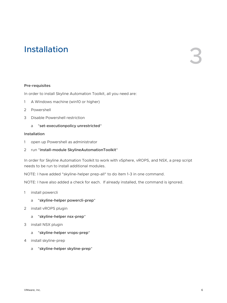# <span id="page-5-0"></span>Installation 3

#### **Pre-requisites**

In order to install Skyline Automation Toolkit, all you need are:

- 1 A Windows machine (win10 or higher)
- 2 Powershell
- 3 Disable Powershell restriction
	- a "**set-executionpolicy unrestricted**"

#### **Installation**

- 1 open up Powershell as administrator
- 2 run "**install-module SkylineAutomationToolkit**"

In order for Skyline Automation Toolkit to work with vSphere, vROPS, and NSX, a prep script needs to be run to install additional modules.

NOTE: I have added "skyline-helper prep-all" to do item 1-3 in one command.

NOTE: I have also added a check for each. If already installed, the command is ignored.

- 1 install powercli
	- a "**skyline-helper powercli-prep**"
- 2 install vROPS plugin
	- a "**skyline-helper nsx-prep**"
- 3 install NSX plugin
	- a "**skyline-helper vrops-prep**"
- 4 install skyline-prep
	- a "**skyline-helper skyline-prep**"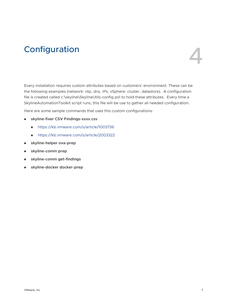## <span id="page-6-0"></span>**Configuration**



Every installation requires custom attributes based on customers' environment. These can be the following examples (network: ntp, dns, IPs; vSphere: cluster, datastore). A configuration file is created called c:\skyline\SkylineUtils-config.ps1 to hold these attributes. Every time a SkylineAutomationToolkit script runs, this file will be use to gather all needed configuration.

Here are some sample commands that uses this custom configurations:

- <sup>n</sup> **skyline-fixer CSV Findings-xxxx.csv**
	- <https://kb.vmware.com/s/article/1003736>
	- <https://kb.vmware.com/s/article/2003322>
- <sup>n</sup> **skyline-helper ova-prep**
- **n** skyline-comm prep
- <sup>n</sup> **skyline-comm get-findings**
- <sup>n</sup> **skyline-docker docker-prep**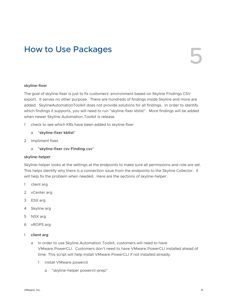## <span id="page-7-0"></span>How to Use Packages 5

#### **skyline-fixer**

The goal of skyline-fixer is just to fix customers' environment based on Skyline Findings CSV export. It serves no other purpose. There are hundreds of findings inside Skyline and more are added. SkylineAutomationToolkit does not provide solutions for all findings. In order to identify which findings it supports, you will need to run "skyline-fixer kblist". More findings will be added when newer Skyline.Automation.Toolkit is release.

- 1 check to see which KBs have been added to skyline-fixer
	- a "**skyline-fixer kblist**"
- 2 impliment fixes
	- a "**skyline-fixer csv Finding.csv**"

#### **skyline-helper**

Skyline-helper looks at the settings at the endpoints to make sure all permissions and role are set. This helps identify why there is a connection issue from the endpoints to the Skyline Collector. It will help fix the problem when needed. Here are the sections of skyline-helper:

- 1 client arg
- 2 vCenter arg
- 3 ESX arg
- 4 Skyline arg
- 5 NSX arg
- 6 vROPS arg
- 1 **client arg**
	- a In order to use Skyline.Automation.Toolkit, customers will need to have VMware.PowerCLI. Customers don't need to have VMware.PowerCLI installed ahead of time. This script will help install VMware.PowerCLI if not installed already.
		- 1 install VMware.powercli
			- a "skyline-helper powercli-prep"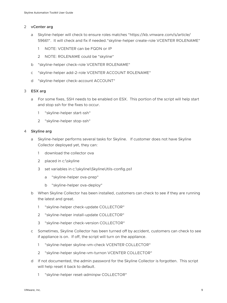#### 2 **vCenter arg**

- a Skyline-helper will check to ensure roles matches "https://kb.vmware.com/s/article/ 59661". It will check and fix if needed."skyline-helper create-role VCENTER ROLENAME"
	- 1 NOTE: VCENTER can be FQDN or IP
	- 2 NOTE: ROLENAME could be "skyline"
- b "skyline-helper check-role VCENTER ROLENAME"
- c "skyline-helper add-2-role VCENTER ACCOUNT ROLENAME"
- d "skyline-helper check-account ACCOUNT"

#### 3 **ESX arg**

- a For some fixes, SSH needs to be enabled on ESX. This portion of the script will help start and stop ssh for the fixes to occur.
	- 1 "skyline-helper start-ssh"
	- 2 "skyline-helper stop-ssh"

#### 4 **Skyline arg**

- a Skyline-helper performs several tasks for Skyline. If customer does not have Skyline Collector deployed yet, they can:
	- 1 download the collector ova
	- 2 placed in c:\skyline
	- 3 set variables in c:\skyline\SkylineUtils-config.ps1
		- a "skyline-helper ova-prep"
		- b "skyline-helper ova-deploy"
- b When Skyline Collector has been installed, customers can check to see if they are running the latest and great.
	- 1 "skyline-helper check-update COLLECTOR"
	- 2 "skyline-helper install-update COLLECTOR"
	- 3 "skyline-helper check-version COLLECTOR"
- c Sometimes, Skyline Collector has been turned off by accident, customers can check to see if appliance is on. If off, the script will turn on the appliance.
	- 1 "skyline-helper skyline-vm-check VCENTER COLLECTOR"
	- 2 "skyline-helper skyline-vm-turnon VCENTER COLLECTOR"
- d If not documented, the admin password for the Skyline Collector is forgotten. This script will help reset it back to default.
	- 1 "skyline-helper reset-adminpw COLLECTOR"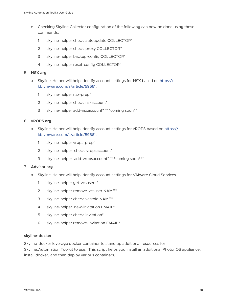- e Checking Skyline Collector configuration of the following can now be done using these commands.
	- 1 "skyline-helper check-autoupdate COLLECTOR"
	- 2 "skyline-helper check-proxy COLLECTOR"
	- 3 "skyline-helper backup-config COLLECTOR"
	- 4 "skyline-helper reset-config COLLECTOR"

#### 5 **NSX arg**

- a Skyline-Helper will help identify account settings for NSX based on [https://](https://kb.vmware.com/s/article/59661) [kb.vmware.com/s/article/59661](https://kb.vmware.com/s/article/59661).
	- 1 "skyline-helper nsx-prep"
	- 2 "skyline-helper check-nsxaccount"
	- 3 "skyline-helper add-nsxaccount" \*\*\*coming soon\*\*

#### 6 **vROPS arg**

- a Skyline-Helper will help identify account settings for vROPS based on [https://](https://kb.vmware.com/s/article/59661) [kb.vmware.com/s/article/59661](https://kb.vmware.com/s/article/59661).
	- 1 "skyline-helper vrops-prep"
	- 2 "skyline-helper check-vropsaccount"
	- 3 "skyline-helper add-vropsaccount" \*\*\*coming soon\*\*\*

#### 7 **Advisor arg**

- a Skyline-Helper will help identify account settings for VMware Cloud Services.
	- 1 "skyline-helper get-vcsusers"
	- 2 "skyline-helper remove-vcsuser NAME"
	- 3 "skyline-helper check-vcsrole NAME"
	- 4 "skyline-helper new-invitation EMAIL"
	- 5 "skyline-helper check-invitation"
	- 6 "skyline-helper remove-invitation EMAIL"

#### **skyline-docker**

Skyline-docker leverage docker container to stand up additional resources for Skyline.Automation.Toolkit to use. This script helps you install an additional PhotonOS appliance, install docker, and then deploy various containers.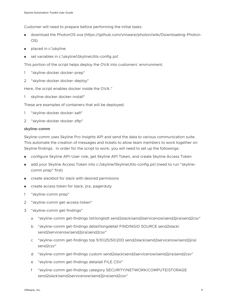Customer will need to prepare before performing the initial tasks:

- <sup>n</sup> download the PhotonOS ova (https://github.com/vmware/photon/wiki/Downloading-Photon-OS)
- placed in c:\skyline
- set variables in c:\skyline\SkylineUtils-config.ps1

This portion of the script helps deploy the OVA into customers' environment.

- 1 "skyline-docker docker-prep"
- 2 "skyline-docker docker-deploy"

Here, the script enables docker inside the OVA."

skyline-docker docker-install"

These are examples of containers that will be deployed.

- 1 "skyline-docker docker-salt"
- 2 "skyline-docker docker-sftp"

#### **skyline-comm**

Skyline-comm uses Skyline Pro Insights API and send the data to various communication suite. This automate the creation of messages and tickets to allow team members to work together on Skyline findings. In order for the script to work, you will need to set up the followings:

- **n** configure Skyline API-User role, get Skyline API Token, and create Skyline Access Token
- <sup>n</sup> add your Skyline Access Token into c:/skyline/SkylineUtils-config.ps1 (need to run "skylinecomm prep" first)
- n create slackbot for slack with desired permisions
- **n** create access token for slack, jira, pagerduty
- 1 "skyline-comm prep"
- 2 "skyline-comm get-access-token"
- 3 "skyline-comm get-findings"
	- a "skyline-comm get-findings list|longlistt send2slack|send2servicenow|send2jira|send2csv"
	- b "skyline-comm get-findings detail|longdetail FINDINGID SOURCE send2slack| send2servicenow|send2jira|send2csv"
	- c "skyline-comm get-findings top 5|10|25|50|200 send2slack|send2servicenow|send2jira| send2csv"
	- d "skyline-comm get-findings custom send2slack|send2servicenow|send2jira|send2csv"
	- e "skyline-comm get-findings detailall FILE.CSV"
	- f "skyline-comm get-findings category SECURITY|NETWORK|COMPUTE|STORAGE send2slack|send2servicenow|send2jira|send2csv"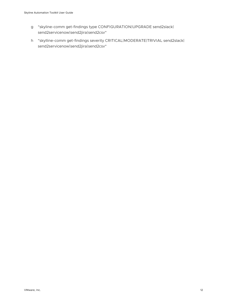- g "skyline-comm get-findings type CONFIGURATION|UPGRADE send2slack| send2servicenow|send2jira|send2csv"
- h "skylline-comm get-findings severity CRITICAL|MODERATE|TRIVIAL send2slack| send2servicenow|send2jira|send2csv"